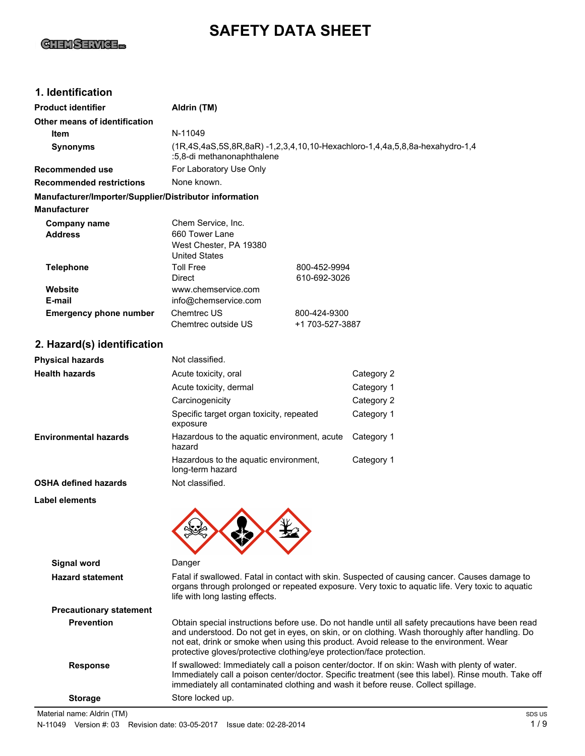# **GHEMSERVICE...**

# **SAFETY DATA SHEET**

### **1. Identification**

| <b>Product identifier</b>                              | Aldrin (TM)                                                                                                                                                                                                                                                                                                                                                              |                                 |                                                                                                                                                                                                     |
|--------------------------------------------------------|--------------------------------------------------------------------------------------------------------------------------------------------------------------------------------------------------------------------------------------------------------------------------------------------------------------------------------------------------------------------------|---------------------------------|-----------------------------------------------------------------------------------------------------------------------------------------------------------------------------------------------------|
| Other means of identification                          |                                                                                                                                                                                                                                                                                                                                                                          |                                 |                                                                                                                                                                                                     |
| Item                                                   | N-11049                                                                                                                                                                                                                                                                                                                                                                  |                                 |                                                                                                                                                                                                     |
| <b>Synonyms</b>                                        | (1R,4S,4aS,5S,8R,8aR) -1,2,3,4,10,10-Hexachloro-1,4,4a,5,8,8a-hexahydro-1,4<br>:5,8-di methanonaphthalene                                                                                                                                                                                                                                                                |                                 |                                                                                                                                                                                                     |
| <b>Recommended use</b>                                 | For Laboratory Use Only                                                                                                                                                                                                                                                                                                                                                  |                                 |                                                                                                                                                                                                     |
| <b>Recommended restrictions</b>                        | None known.                                                                                                                                                                                                                                                                                                                                                              |                                 |                                                                                                                                                                                                     |
| Manufacturer/Importer/Supplier/Distributor information |                                                                                                                                                                                                                                                                                                                                                                          |                                 |                                                                                                                                                                                                     |
| <b>Manufacturer</b>                                    |                                                                                                                                                                                                                                                                                                                                                                          |                                 |                                                                                                                                                                                                     |
| <b>Company name</b><br><b>Address</b>                  | Chem Service, Inc.<br>660 Tower Lane<br>West Chester, PA 19380<br><b>United States</b>                                                                                                                                                                                                                                                                                   |                                 |                                                                                                                                                                                                     |
| <b>Telephone</b>                                       | <b>Toll Free</b><br>Direct                                                                                                                                                                                                                                                                                                                                               | 800-452-9994<br>610-692-3026    |                                                                                                                                                                                                     |
| Website                                                | www.chemservice.com                                                                                                                                                                                                                                                                                                                                                      |                                 |                                                                                                                                                                                                     |
| E-mail                                                 | info@chemservice.com                                                                                                                                                                                                                                                                                                                                                     |                                 |                                                                                                                                                                                                     |
| <b>Emergency phone number</b>                          | Chemtrec US<br>Chemtrec outside US                                                                                                                                                                                                                                                                                                                                       | 800-424-9300<br>+1 703-527-3887 |                                                                                                                                                                                                     |
| 2. Hazard(s) identification                            |                                                                                                                                                                                                                                                                                                                                                                          |                                 |                                                                                                                                                                                                     |
| <b>Physical hazards</b>                                | Not classified.                                                                                                                                                                                                                                                                                                                                                          |                                 |                                                                                                                                                                                                     |
| <b>Health hazards</b>                                  | Acute toxicity, oral                                                                                                                                                                                                                                                                                                                                                     |                                 | Category 2                                                                                                                                                                                          |
|                                                        | Acute toxicity, dermal                                                                                                                                                                                                                                                                                                                                                   |                                 | Category 1                                                                                                                                                                                          |
|                                                        | Carcinogenicity                                                                                                                                                                                                                                                                                                                                                          |                                 | Category 2                                                                                                                                                                                          |
|                                                        | Specific target organ toxicity, repeated<br>exposure                                                                                                                                                                                                                                                                                                                     |                                 | Category 1                                                                                                                                                                                          |
| <b>Environmental hazards</b>                           | Hazardous to the aquatic environment, acute<br>hazard                                                                                                                                                                                                                                                                                                                    |                                 | Category 1                                                                                                                                                                                          |
|                                                        | Hazardous to the aquatic environment,<br>long-term hazard                                                                                                                                                                                                                                                                                                                |                                 | Category 1                                                                                                                                                                                          |
| <b>OSHA defined hazards</b>                            | Not classified.                                                                                                                                                                                                                                                                                                                                                          |                                 |                                                                                                                                                                                                     |
| <b>Label elements</b>                                  |                                                                                                                                                                                                                                                                                                                                                                          |                                 |                                                                                                                                                                                                     |
|                                                        |                                                                                                                                                                                                                                                                                                                                                                          |                                 |                                                                                                                                                                                                     |
| <b>Signal word</b>                                     | Danger                                                                                                                                                                                                                                                                                                                                                                   |                                 |                                                                                                                                                                                                     |
| <b>Hazard statement</b>                                | Fatal if swallowed. Fatal in contact with skin. Suspected of causing cancer. Causes damage to<br>organs through prolonged or repeated exposure. Very toxic to aquatic life. Very toxic to aquatic<br>life with long lasting effects.                                                                                                                                     |                                 |                                                                                                                                                                                                     |
| <b>Precautionary statement</b>                         |                                                                                                                                                                                                                                                                                                                                                                          |                                 |                                                                                                                                                                                                     |
| <b>Prevention</b>                                      | Obtain special instructions before use. Do not handle until all safety precautions have been read<br>and understood. Do not get in eyes, on skin, or on clothing. Wash thoroughly after handling. Do<br>not eat, drink or smoke when using this product. Avoid release to the environment. Wear<br>protective gloves/protective clothing/eye protection/face protection. |                                 |                                                                                                                                                                                                     |
| <b>Response</b>                                        |                                                                                                                                                                                                                                                                                                                                                                          |                                 | If swallowed: Immediately call a poison center/doctor. If on skin: Wash with plenty of water.<br>Immediately call a poison center/doctor. Specific treatment (see this label). Rinse mouth. Take of |

immediately all contaminated clothing and wash it before reuse. Collect spillage.

**Storage** Store locked up.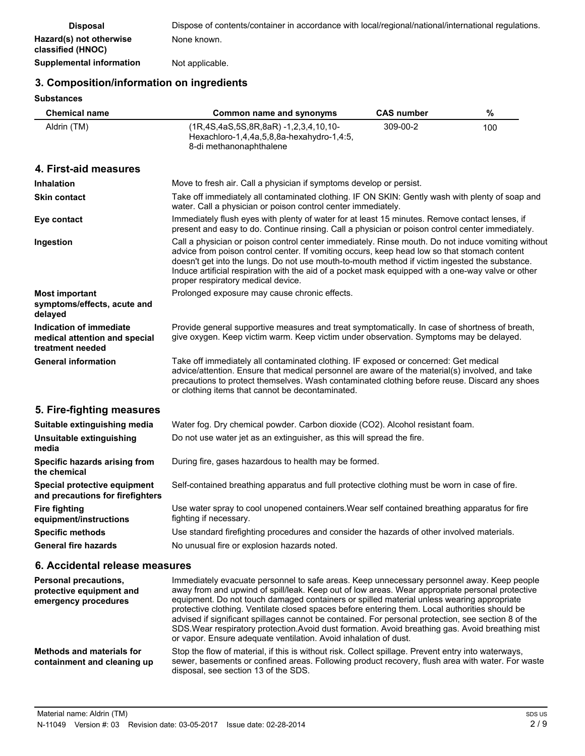| <b>Disposal</b>                              | Dispose of contents/container in accordance with local/regional/national/international regulations. |
|----------------------------------------------|-----------------------------------------------------------------------------------------------------|
| Hazard(s) not otherwise<br>classified (HNOC) | None known.                                                                                         |
| Supplemental information                     | Not applicable.                                                                                     |

# **3. Composition/information on ingredients**

**Substances**

| ວບບຣເສກເເອຣ                                                                  |                                                                                                                                                                                                                                                                                                                                                                                                                                                  |                   |     |
|------------------------------------------------------------------------------|--------------------------------------------------------------------------------------------------------------------------------------------------------------------------------------------------------------------------------------------------------------------------------------------------------------------------------------------------------------------------------------------------------------------------------------------------|-------------------|-----|
| Chemical name                                                                | <b>Common name and synonyms</b>                                                                                                                                                                                                                                                                                                                                                                                                                  | <b>CAS number</b> | %   |
| Aldrin (TM)                                                                  | (1R,4S,4aS,5S,8R,8aR) -1,2,3,4,10,10-<br>Hexachloro-1,4,4a,5,8,8a-hexahydro-1,4:5,<br>8-di methanonaphthalene                                                                                                                                                                                                                                                                                                                                    | 309-00-2          | 100 |
| 4. First-aid measures                                                        |                                                                                                                                                                                                                                                                                                                                                                                                                                                  |                   |     |
| <b>Inhalation</b>                                                            | Move to fresh air. Call a physician if symptoms develop or persist.                                                                                                                                                                                                                                                                                                                                                                              |                   |     |
| <b>Skin contact</b>                                                          | Take off immediately all contaminated clothing. IF ON SKIN: Gently wash with plenty of soap and<br>water. Call a physician or poison control center immediately.                                                                                                                                                                                                                                                                                 |                   |     |
| Eye contact                                                                  | Immediately flush eyes with plenty of water for at least 15 minutes. Remove contact lenses, if<br>present and easy to do. Continue rinsing. Call a physician or poison control center immediately.                                                                                                                                                                                                                                               |                   |     |
| Ingestion                                                                    | Call a physician or poison control center immediately. Rinse mouth. Do not induce vomiting without<br>advice from poison control center. If vomiting occurs, keep head low so that stomach content<br>doesn't get into the lungs. Do not use mouth-to-mouth method if victim ingested the substance.<br>Induce artificial respiration with the aid of a pocket mask equipped with a one-way valve or other<br>proper respiratory medical device. |                   |     |
| <b>Most important</b><br>symptoms/effects, acute and<br>delayed              | Prolonged exposure may cause chronic effects.                                                                                                                                                                                                                                                                                                                                                                                                    |                   |     |
| Indication of immediate<br>medical attention and special<br>treatment needed | Provide general supportive measures and treat symptomatically. In case of shortness of breath,<br>give oxygen. Keep victim warm. Keep victim under observation. Symptoms may be delayed.                                                                                                                                                                                                                                                         |                   |     |
| <b>General information</b>                                                   | Take off immediately all contaminated clothing. IF exposed or concerned: Get medical<br>advice/attention. Ensure that medical personnel are aware of the material(s) involved, and take<br>precautions to protect themselves. Wash contaminated clothing before reuse. Discard any shoes<br>or clothing items that cannot be decontaminated.                                                                                                     |                   |     |
| 5. Fire-fighting measures                                                    |                                                                                                                                                                                                                                                                                                                                                                                                                                                  |                   |     |
| Suitable extinguishing media                                                 | Water fog. Dry chemical powder. Carbon dioxide (CO2). Alcohol resistant foam.                                                                                                                                                                                                                                                                                                                                                                    |                   |     |
| Unsuitable extinguishing<br>media                                            | Do not use water jet as an extinguisher, as this will spread the fire.                                                                                                                                                                                                                                                                                                                                                                           |                   |     |
| Specific hazards arising from<br>the chemical                                | During fire, gases hazardous to health may be formed.                                                                                                                                                                                                                                                                                                                                                                                            |                   |     |
| Special protective equipment<br>and precautions for firefighters             | Self-contained breathing apparatus and full protective clothing must be worn in case of fire.                                                                                                                                                                                                                                                                                                                                                    |                   |     |
| <b>Fire fighting</b><br>equipment/instructions                               | Use water spray to cool unopened containers. Wear self contained breathing apparatus for fire<br>fighting if necessary.                                                                                                                                                                                                                                                                                                                          |                   |     |
| <b>Specific methods</b>                                                      | Use standard firefighting procedures and consider the hazards of other involved materials.                                                                                                                                                                                                                                                                                                                                                       |                   |     |
| <b>General fire hazards</b>                                                  | No unusual fire or explosion hazards noted.                                                                                                                                                                                                                                                                                                                                                                                                      |                   |     |
|                                                                              |                                                                                                                                                                                                                                                                                                                                                                                                                                                  |                   |     |

### **6. Accidental release measures**

| <b>Personal precautions.</b><br>protective equipment and<br>emergency procedures | Immediately evacuate personnel to safe areas. Keep unnecessary personnel away. Keep people<br>away from and upwind of spill/leak. Keep out of low areas. Wear appropriate personal protective<br>equipment. Do not touch damaged containers or spilled material unless wearing appropriate<br>protective clothing. Ventilate closed spaces before entering them. Local authorities should be<br>advised if significant spillages cannot be contained. For personal protection, see section 8 of the<br>SDS. Wear respiratory protection. Avoid dust formation. Avoid breathing gas. Avoid breathing mist<br>or vapor. Ensure adequate ventilation. Avoid inhalation of dust. |
|----------------------------------------------------------------------------------|------------------------------------------------------------------------------------------------------------------------------------------------------------------------------------------------------------------------------------------------------------------------------------------------------------------------------------------------------------------------------------------------------------------------------------------------------------------------------------------------------------------------------------------------------------------------------------------------------------------------------------------------------------------------------|
| Methods and materials for<br>containment and cleaning up                         | Stop the flow of material, if this is without risk. Collect spillage. Prevent entry into waterways,<br>sewer, basements or confined areas. Following product recovery, flush area with water. For waste<br>disposal, see section 13 of the SDS.                                                                                                                                                                                                                                                                                                                                                                                                                              |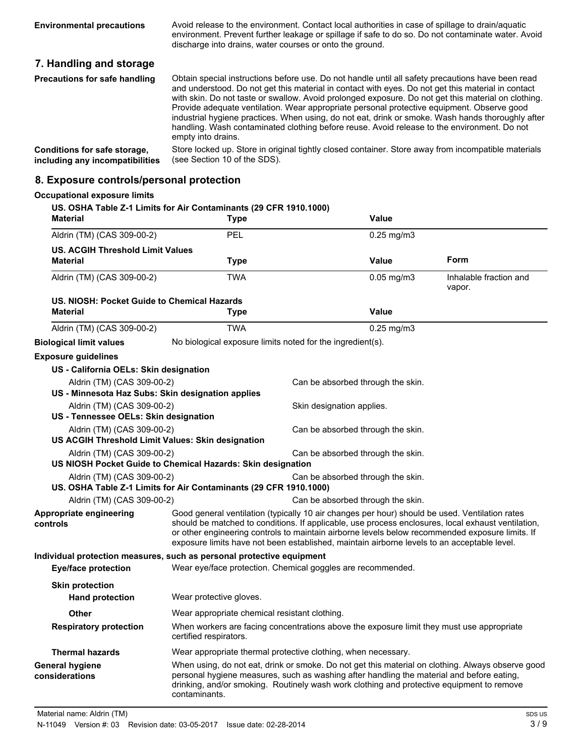Avoid release to the environment. Contact local authorities in case of spillage to drain/aquatic environment. Prevent further leakage or spillage if safe to do so. Do not contaminate water. Avoid discharge into drains, water courses or onto the ground. **Environmental precautions**

# **7. Handling and storage**

| Precautions for safe handling   | Obtain special instructions before use. Do not handle until all safety precautions have been read<br>and understood. Do not get this material in contact with eyes. Do not get this material in contact<br>with skin. Do not taste or swallow. Avoid prolonged exposure. Do not get this material on clothing.<br>Provide adequate ventilation. Wear appropriate personal protective equipment. Observe good<br>industrial hygiene practices. When using, do not eat, drink or smoke. Wash hands thoroughly after<br>handling. Wash contaminated clothing before reuse. Avoid release to the environment. Do not<br>empty into drains. |
|---------------------------------|----------------------------------------------------------------------------------------------------------------------------------------------------------------------------------------------------------------------------------------------------------------------------------------------------------------------------------------------------------------------------------------------------------------------------------------------------------------------------------------------------------------------------------------------------------------------------------------------------------------------------------------|
| Conditions for safe storage,    | Store locked up. Store in original tightly closed container. Store away from incompatible materials                                                                                                                                                                                                                                                                                                                                                                                                                                                                                                                                    |
| including any incompatibilities | (see Section 10 of the SDS).                                                                                                                                                                                                                                                                                                                                                                                                                                                                                                                                                                                                           |

### **8. Exposure controls/personal protection**

| <b>Material</b>                                                                 | US. OSHA Table Z-1 Limits for Air Contaminants (29 CFR 1910.1000)<br><b>Type</b> | Value                                                                                                                                                                                                                                                                                                                                                                                                  |                                  |
|---------------------------------------------------------------------------------|----------------------------------------------------------------------------------|--------------------------------------------------------------------------------------------------------------------------------------------------------------------------------------------------------------------------------------------------------------------------------------------------------------------------------------------------------------------------------------------------------|----------------------------------|
| Aldrin (TM) (CAS 309-00-2)                                                      | PEL                                                                              | $0.25$ mg/m $3$                                                                                                                                                                                                                                                                                                                                                                                        |                                  |
| <b>US. ACGIH Threshold Limit Values</b>                                         |                                                                                  |                                                                                                                                                                                                                                                                                                                                                                                                        |                                  |
| Material                                                                        | <b>Type</b>                                                                      | Value                                                                                                                                                                                                                                                                                                                                                                                                  | Form                             |
| Aldrin (TM) (CAS 309-00-2)                                                      | <b>TWA</b>                                                                       | $0.05$ mg/m $3$                                                                                                                                                                                                                                                                                                                                                                                        | Inhalable fraction and<br>vapor. |
| US. NIOSH: Pocket Guide to Chemical Hazards<br><b>Material</b>                  | <b>Type</b>                                                                      | <b>Value</b>                                                                                                                                                                                                                                                                                                                                                                                           |                                  |
| Aldrin (TM) (CAS 309-00-2)                                                      | <b>TWA</b>                                                                       | $0.25$ mg/m $3$                                                                                                                                                                                                                                                                                                                                                                                        |                                  |
| <b>Biological limit values</b>                                                  | No biological exposure limits noted for the ingredient(s).                       |                                                                                                                                                                                                                                                                                                                                                                                                        |                                  |
| <b>Exposure guidelines</b>                                                      |                                                                                  |                                                                                                                                                                                                                                                                                                                                                                                                        |                                  |
| US - California OELs: Skin designation                                          |                                                                                  |                                                                                                                                                                                                                                                                                                                                                                                                        |                                  |
| Aldrin (TM) (CAS 309-00-2)<br>US - Minnesota Haz Subs: Skin designation applies |                                                                                  | Can be absorbed through the skin.                                                                                                                                                                                                                                                                                                                                                                      |                                  |
| Aldrin (TM) (CAS 309-00-2)<br>US - Tennessee OELs: Skin designation             |                                                                                  | Skin designation applies.                                                                                                                                                                                                                                                                                                                                                                              |                                  |
| Aldrin (TM) (CAS 309-00-2)<br>US ACGIH Threshold Limit Values: Skin designation |                                                                                  | Can be absorbed through the skin.                                                                                                                                                                                                                                                                                                                                                                      |                                  |
| Aldrin (TM) (CAS 309-00-2)                                                      |                                                                                  | Can be absorbed through the skin.                                                                                                                                                                                                                                                                                                                                                                      |                                  |
|                                                                                 | US NIOSH Pocket Guide to Chemical Hazards: Skin designation                      |                                                                                                                                                                                                                                                                                                                                                                                                        |                                  |
| Aldrin (TM) (CAS 309-00-2)                                                      | US. OSHA Table Z-1 Limits for Air Contaminants (29 CFR 1910.1000)                | Can be absorbed through the skin.                                                                                                                                                                                                                                                                                                                                                                      |                                  |
| Aldrin (TM) (CAS 309-00-2)                                                      |                                                                                  | Can be absorbed through the skin.                                                                                                                                                                                                                                                                                                                                                                      |                                  |
| Appropriate engineering<br>controls                                             |                                                                                  | Good general ventilation (typically 10 air changes per hour) should be used. Ventilation rates<br>should be matched to conditions. If applicable, use process enclosures, local exhaust ventilation,<br>or other engineering controls to maintain airborne levels below recommended exposure limits. If<br>exposure limits have not been established, maintain airborne levels to an acceptable level. |                                  |
|                                                                                 | Individual protection measures, such as personal protective equipment            |                                                                                                                                                                                                                                                                                                                                                                                                        |                                  |
| <b>Eye/face protection</b>                                                      | Wear eye/face protection. Chemical goggles are recommended.                      |                                                                                                                                                                                                                                                                                                                                                                                                        |                                  |
| <b>Skin protection</b><br><b>Hand protection</b>                                | Wear protective gloves.                                                          |                                                                                                                                                                                                                                                                                                                                                                                                        |                                  |
| Other                                                                           | Wear appropriate chemical resistant clothing.                                    |                                                                                                                                                                                                                                                                                                                                                                                                        |                                  |
| <b>Respiratory protection</b>                                                   | certified respirators.                                                           | When workers are facing concentrations above the exposure limit they must use appropriate                                                                                                                                                                                                                                                                                                              |                                  |
| <b>Thermal hazards</b>                                                          | Wear appropriate thermal protective clothing, when necessary.                    |                                                                                                                                                                                                                                                                                                                                                                                                        |                                  |
| General hygiene<br>considerations                                               | contaminants.                                                                    | When using, do not eat, drink or smoke. Do not get this material on clothing. Always observe good<br>personal hygiene measures, such as washing after handling the material and before eating,<br>drinking, and/or smoking. Routinely wash work clothing and protective equipment to remove                                                                                                            |                                  |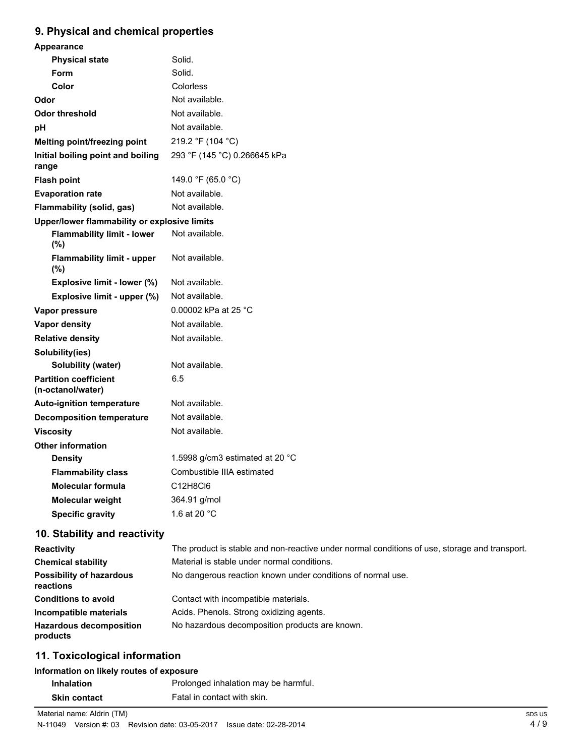# **9. Physical and chemical properties**

| <b>Appearance</b>                                 |                                 |
|---------------------------------------------------|---------------------------------|
| <b>Physical state</b>                             | Solid.                          |
| Form                                              | Solid.                          |
| Color                                             | Colorless                       |
| Odor                                              | Not available.                  |
| <b>Odor threshold</b>                             | Not available.                  |
| рH                                                | Not available.                  |
| Melting point/freezing point                      | 219.2 °F (104 °C)               |
| Initial boiling point and boiling<br>range        | 293 °F (145 °C) 0.266645 kPa    |
| <b>Flash point</b>                                | 149.0 °F (65.0 °C)              |
| <b>Evaporation rate</b>                           | Not available.                  |
| Flammability (solid, gas)                         | Not available.                  |
| Upper/lower flammability or explosive limits      |                                 |
| <b>Flammability limit - lower</b><br>$(\%)$       | Not available.                  |
| <b>Flammability limit - upper</b><br>$(\%)$       | Not available.                  |
| Explosive limit - lower (%)                       | Not available.                  |
| Explosive limit - upper (%)                       | Not available.                  |
| Vapor pressure                                    | 0.00002 kPa at 25 °C            |
| <b>Vapor density</b>                              | Not available.                  |
| <b>Relative density</b>                           | Not available.                  |
| Solubility(ies)                                   |                                 |
| <b>Solubility (water)</b>                         | Not available.                  |
| <b>Partition coefficient</b><br>(n-octanol/water) | 6.5                             |
| <b>Auto-ignition temperature</b>                  | Not available.                  |
| <b>Decomposition temperature</b>                  | Not available.                  |
| <b>Viscosity</b>                                  | Not available.                  |
| <b>Other information</b>                          |                                 |
| <b>Density</b>                                    | 1.5998 g/cm3 estimated at 20 °C |
| <b>Flammability class</b>                         | Combustible IIIA estimated      |
| <b>Molecular formula</b>                          | C12H8Cl6                        |
| <b>Molecular weight</b>                           | 364.91 g/mol                    |
| <b>Specific gravity</b>                           | 1.6 at 20 °C                    |
|                                                   |                                 |

# **10. Stability and reactivity**

| <b>Reactivity</b>                            | The product is stable and non-reactive under normal conditions of use, storage and transport. |
|----------------------------------------------|-----------------------------------------------------------------------------------------------|
| <b>Chemical stability</b>                    | Material is stable under normal conditions.                                                   |
| <b>Possibility of hazardous</b><br>reactions | No dangerous reaction known under conditions of normal use.                                   |
| <b>Conditions to avoid</b>                   | Contact with incompatible materials.                                                          |
| Incompatible materials                       | Acids. Phenols. Strong oxidizing agents.                                                      |
| <b>Hazardous decomposition</b><br>products   | No hazardous decomposition products are known.                                                |

# **11. Toxicological information**

# **Information on likely routes of exposure**

| <b>Inhalation</b>   | Prolonged inhalation may be harmful. |
|---------------------|--------------------------------------|
| <b>Skin contact</b> | Fatal in contact with skin.          |

Material name: Aldrin (TM)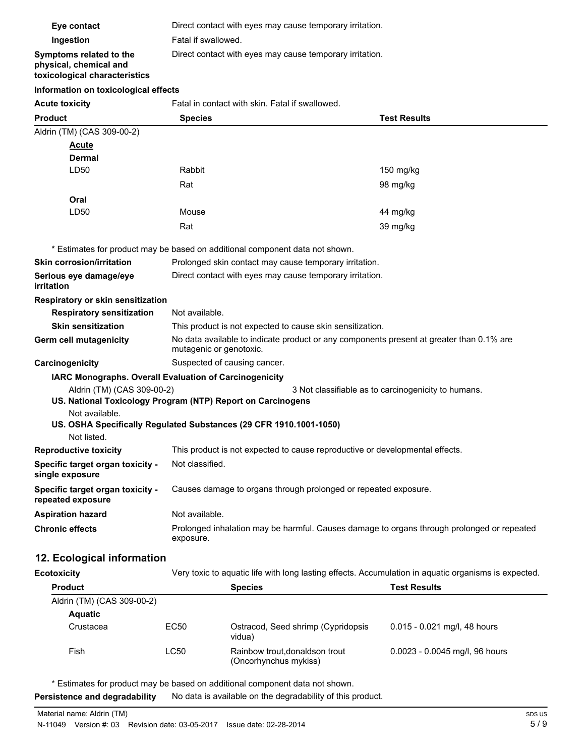| Eye contact                                                                        | Direct contact with eyes may cause temporary irritation.                                                            |                                                     |  |
|------------------------------------------------------------------------------------|---------------------------------------------------------------------------------------------------------------------|-----------------------------------------------------|--|
| Ingestion                                                                          | Fatal if swallowed.                                                                                                 |                                                     |  |
| Symptoms related to the<br>physical, chemical and<br>toxicological characteristics | Direct contact with eyes may cause temporary irritation.                                                            |                                                     |  |
| Information on toxicological effects                                               |                                                                                                                     |                                                     |  |
| <b>Acute toxicity</b>                                                              | Fatal in contact with skin. Fatal if swallowed.                                                                     |                                                     |  |
| <b>Product</b>                                                                     | <b>Species</b>                                                                                                      | <b>Test Results</b>                                 |  |
| Aldrin (TM) (CAS 309-00-2)                                                         |                                                                                                                     |                                                     |  |
| Acute                                                                              |                                                                                                                     |                                                     |  |
| Dermal                                                                             |                                                                                                                     |                                                     |  |
| LD50                                                                               | Rabbit                                                                                                              | 150 mg/kg                                           |  |
|                                                                                    | Rat                                                                                                                 | 98 mg/kg                                            |  |
| Oral                                                                               |                                                                                                                     |                                                     |  |
| LD50                                                                               | Mouse                                                                                                               | 44 mg/kg                                            |  |
|                                                                                    | Rat                                                                                                                 | 39 mg/kg                                            |  |
|                                                                                    |                                                                                                                     |                                                     |  |
|                                                                                    | * Estimates for product may be based on additional component data not shown.                                        |                                                     |  |
| <b>Skin corrosion/irritation</b>                                                   | Prolonged skin contact may cause temporary irritation.                                                              |                                                     |  |
| Serious eye damage/eye<br><i>irritation</i>                                        | Direct contact with eyes may cause temporary irritation.                                                            |                                                     |  |
| Respiratory or skin sensitization                                                  |                                                                                                                     |                                                     |  |
| <b>Respiratory sensitization</b>                                                   | Not available.                                                                                                      |                                                     |  |
| <b>Skin sensitization</b>                                                          | This product is not expected to cause skin sensitization.                                                           |                                                     |  |
| Germ cell mutagenicity                                                             | No data available to indicate product or any components present at greater than 0.1% are<br>mutagenic or genotoxic. |                                                     |  |
| Carcinogenicity                                                                    | Suspected of causing cancer.                                                                                        |                                                     |  |
|                                                                                    | IARC Monographs. Overall Evaluation of Carcinogenicity                                                              |                                                     |  |
| Aldrin (TM) (CAS 309-00-2)                                                         | US. National Toxicology Program (NTP) Report on Carcinogens                                                         | 3 Not classifiable as to carcinogenicity to humans. |  |
| Not available.                                                                     | US. OSHA Specifically Regulated Substances (29 CFR 1910.1001-1050)                                                  |                                                     |  |
| Not listed.                                                                        |                                                                                                                     |                                                     |  |
| <b>Reproductive toxicity</b>                                                       | This product is not expected to cause reproductive or developmental effects.                                        |                                                     |  |
| Specific target organ toxicity -<br>single exposure                                | Not classified.                                                                                                     |                                                     |  |
| Specific target organ toxicity -<br>repeated exposure                              | Causes damage to organs through prolonged or repeated exposure.                                                     |                                                     |  |
| <b>Aspiration hazard</b>                                                           | Not available.                                                                                                      |                                                     |  |
| <b>Chronic effects</b>                                                             | Prolonged inhalation may be harmful. Causes damage to organs through prolonged or repeated<br>exposure.             |                                                     |  |
| 12. Ecological information                                                         |                                                                                                                     |                                                     |  |
| <b>Ecotoxicity</b>                                                                 | Very toxic to aquatic life with long lasting effects. Accumulation in aquatic organisms is expected.                |                                                     |  |

| <b>Product</b>             |      | <b>Species</b>                                          | <b>Test Results</b>            |
|----------------------------|------|---------------------------------------------------------|--------------------------------|
| Aldrin (TM) (CAS 309-00-2) |      |                                                         |                                |
| <b>Aquatic</b>             |      |                                                         |                                |
| Crustacea                  | EC50 | Ostracod, Seed shrimp (Cypridopsis)<br>vidua)           | 0.015 - 0.021 mg/l, 48 hours   |
| Fish                       | LC50 | Rainbow trout, donaldson trout<br>(Oncorhynchus mykiss) | 0.0023 - 0.0045 mg/l, 96 hours |

\* Estimates for product may be based on additional component data not shown.

**Persistence and degradability** No data is available on the degradability of this product.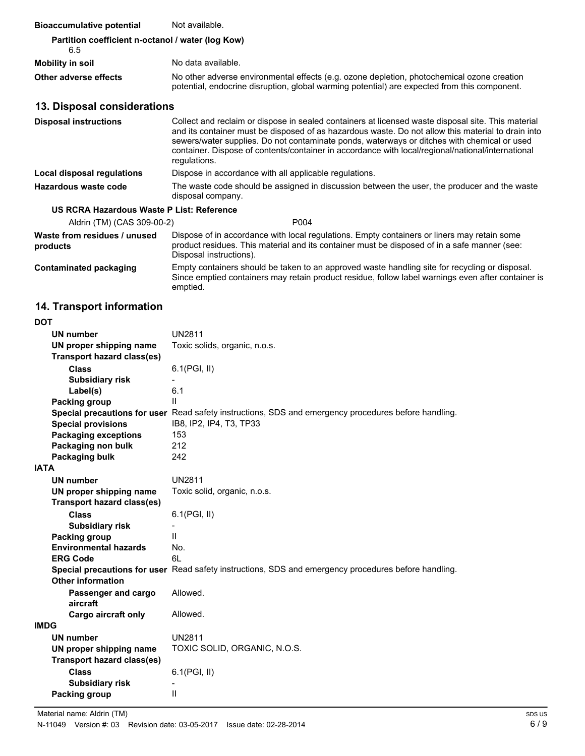| <b>Bioaccumulative potential</b>                         | Not available.                                                                                                                                                                                                                                                                                                                                                                                                               |  |
|----------------------------------------------------------|------------------------------------------------------------------------------------------------------------------------------------------------------------------------------------------------------------------------------------------------------------------------------------------------------------------------------------------------------------------------------------------------------------------------------|--|
| Partition coefficient n-octanol / water (log Kow)<br>6.5 |                                                                                                                                                                                                                                                                                                                                                                                                                              |  |
| Mobility in soil                                         | No data available.                                                                                                                                                                                                                                                                                                                                                                                                           |  |
| Other adverse effects                                    | No other adverse environmental effects (e.g. ozone depletion, photochemical ozone creation<br>potential, endocrine disruption, global warming potential) are expected from this component.                                                                                                                                                                                                                                   |  |
| 13. Disposal considerations                              |                                                                                                                                                                                                                                                                                                                                                                                                                              |  |
| <b>Disposal instructions</b>                             | Collect and reclaim or dispose in sealed containers at licensed waste disposal site. This material<br>and its container must be disposed of as hazardous waste. Do not allow this material to drain into<br>sewers/water supplies. Do not contaminate ponds, waterways or ditches with chemical or used<br>container. Dispose of contents/container in accordance with local/regional/national/international<br>regulations. |  |
| Local disposal regulations                               | Dispose in accordance with all applicable regulations.                                                                                                                                                                                                                                                                                                                                                                       |  |
| Hazardous waste code                                     | The waste code should be assigned in discussion between the user, the producer and the waste<br>disposal company.                                                                                                                                                                                                                                                                                                            |  |
| US RCRA Hazardous Waste P List: Reference                |                                                                                                                                                                                                                                                                                                                                                                                                                              |  |
| Aldrin (TM) (CAS 309-00-2)                               | P004                                                                                                                                                                                                                                                                                                                                                                                                                         |  |
| Waste from residues / unused<br>products                 | Dispose of in accordance with local regulations. Empty containers or liners may retain some<br>product residues. This material and its container must be disposed of in a safe manner (see:<br>Disposal instructions).                                                                                                                                                                                                       |  |
| <b>Contaminated packaging</b>                            | Empty containers should be taken to an approved waste handling site for recycling or disposal.<br>Since emptied containers may retain product residue, follow label warnings even after container is<br>emptied.                                                                                                                                                                                                             |  |

# **14. Transport information**

| ۰.<br>I<br>M.<br>v |
|--------------------|
|--------------------|

| UN number                         | <b>UN2811</b>                                                                                        |
|-----------------------------------|------------------------------------------------------------------------------------------------------|
| UN proper shipping name           | Toxic solids, organic, n.o.s.                                                                        |
| <b>Transport hazard class(es)</b> |                                                                                                      |
| <b>Class</b>                      | 6.1(PGI, II)                                                                                         |
| <b>Subsidiary risk</b>            |                                                                                                      |
| Label(s)                          | 6.1                                                                                                  |
| Packing group                     | Ш                                                                                                    |
|                                   | Special precautions for user Read safety instructions, SDS and emergency procedures before handling. |
| <b>Special provisions</b>         | IB8, IP2, IP4, T3, TP33                                                                              |
| <b>Packaging exceptions</b>       | 153                                                                                                  |
| Packaging non bulk                | 212                                                                                                  |
| Packaging bulk                    | 242                                                                                                  |
| <b>IATA</b>                       |                                                                                                      |
| <b>UN number</b>                  | <b>UN2811</b>                                                                                        |
| UN proper shipping name           | Toxic solid, organic, n.o.s.                                                                         |
| <b>Transport hazard class(es)</b> |                                                                                                      |
| <b>Class</b>                      | 6.1(PGI, II)                                                                                         |
| <b>Subsidiary risk</b>            |                                                                                                      |
| Packing group                     | $\mathsf{I}$                                                                                         |
| <b>Environmental hazards</b>      | No.                                                                                                  |
| <b>ERG Code</b>                   | 61                                                                                                   |
|                                   | Special precautions for user Read safety instructions, SDS and emergency procedures before handling. |
| <b>Other information</b>          |                                                                                                      |
| Passenger and cargo<br>aircraft   | Allowed.                                                                                             |
| <b>Cargo aircraft only</b>        | Allowed.                                                                                             |
| <b>IMDG</b>                       |                                                                                                      |
| <b>UN number</b>                  | <b>UN2811</b>                                                                                        |
| UN proper shipping name           | TOXIC SOLID, ORGANIC, N.O.S.                                                                         |
| <b>Transport hazard class(es)</b> |                                                                                                      |
| <b>Class</b>                      | 6.1(PGI, II)                                                                                         |
| <b>Subsidiary risk</b>            |                                                                                                      |
| Packing group                     | $\mathsf{II}$                                                                                        |
|                                   |                                                                                                      |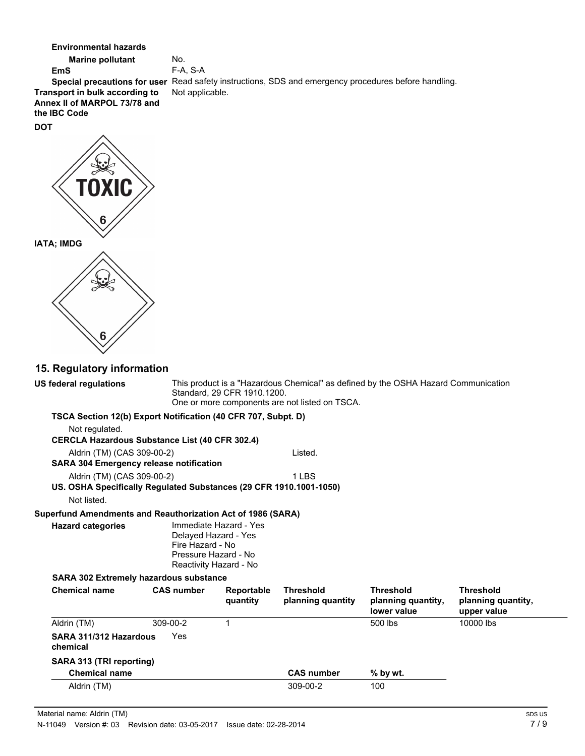**Environmental hazards**

**Marine pollutant** No. **EmS** F-A, S-A **Transport in bulk according to** Not applicable.

**Annex II of MARPOL 73/78 and**

**the IBC Code**

**DOT**

**Special precautions for user** Read safety instructions, SDS and emergency procedures before handling.

# **IATA; IMDG**

### **15. Regulatory information**

This product is a "Hazardous Chemical" as defined by the OSHA Hazard Communication Standard, 29 CFR 1910.1200. One or more components are not listed on TSCA. **US federal regulations TSCA Section 12(b) Export Notification (40 CFR 707, Subpt. D)** Not regulated. **CERCLA Hazardous Substance List (40 CFR 302.4)** Aldrin (TM) (CAS 309-00-2) Listed. **SARA 304 Emergency release notification** Aldrin (TM) (CAS 309-00-2) 1 LBS **US. OSHA Specifically Regulated Substances (29 CFR 1910.1001-1050)** Not listed. **Superfund Amendments and Reauthorization Act of 1986 (SARA)** Immediate Hazard - Yes Delayed Hazard - Yes Fire Hazard - No Pressure Hazard - No Reactivity Hazard - No **Hazard categories SARA 302 Extremely hazardous substance Chemical name CAS number Reportable quantity Threshold planning quantity Threshold planning quantity, lower value Threshold planning quantity, upper value** Aldrin (TM) 309-00-2 1 500 lbs 10000 lbs **SARA 311/312 Hazardous** Yes **chemical SARA 313 (TRI reporting) Chemical name CAS number % by wt.**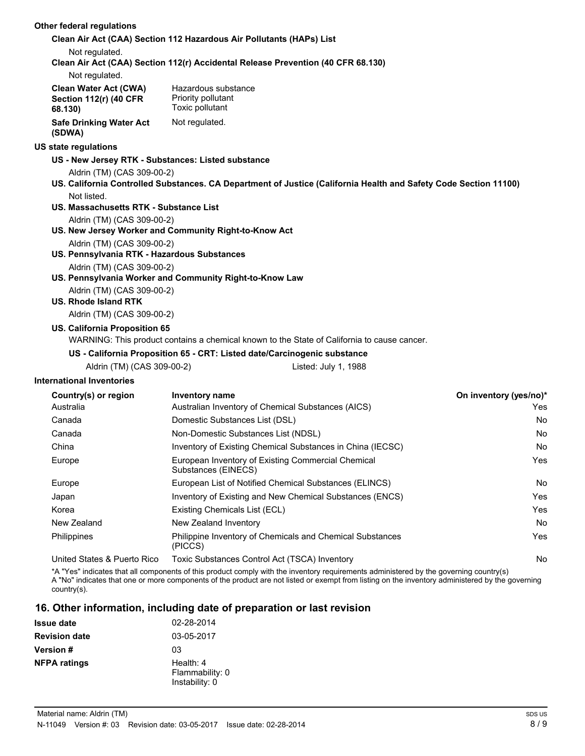### **Other federal regulations**

#### **Clean Air Act (CAA) Section 112 Hazardous Air Pollutants (HAPs) List**

Not regulated.

**Clean Air Act (CAA) Section 112(r) Accidental Release Prevention (40 CFR 68.130)**

Not regulated.

| Clean Water Act (CWA)         | Hazardous substance |
|-------------------------------|---------------------|
| <b>Section 112(r) (40 CFR</b> | Priority pollutant  |
| 68.130)                       | Toxic pollutant     |
| Safe Drinking Water Act       | Not regulated.      |
| (SDWA)                        |                     |

### **US state regulations**

- **US New Jersey RTK Substances: Listed substance**
	- Aldrin (TM) (CAS 309-00-2)
- **US. California Controlled Substances. CA Department of Justice (California Health and Safety Code Section 11100)** Not listed.
- **US. Massachusetts RTK Substance List** Aldrin (TM) (CAS 309-00-2)
- **US. New Jersey Worker and Community Right-to-Know Act** Aldrin (TM) (CAS 309-00-2)
- **US. Pennsylvania RTK Hazardous Substances** Aldrin (TM) (CAS 309-00-2)
- **US. Pennsylvania Worker and Community Right-to-Know Law**
	- Aldrin (TM) (CAS 309-00-2)

### **US. Rhode Island RTK**

Aldrin (TM) (CAS 309-00-2)

### **US. California Proposition 65**

WARNING: This product contains a chemical known to the State of California to cause cancer.

### **US - California Proposition 65 - CRT: Listed date/Carcinogenic substance**

Aldrin (TM) (CAS 309-00-2) Listed: July 1, 1988

### **International Inventories**

| Country(s) or region        | Inventory name                                                            | On inventory (yes/no)* |
|-----------------------------|---------------------------------------------------------------------------|------------------------|
| Australia                   | Australian Inventory of Chemical Substances (AICS)                        | Yes                    |
| Canada                      | Domestic Substances List (DSL)                                            | No                     |
| Canada                      | Non-Domestic Substances List (NDSL)                                       | No                     |
| China                       | Inventory of Existing Chemical Substances in China (IECSC)                | No                     |
| Europe                      | European Inventory of Existing Commercial Chemical<br>Substances (EINECS) | Yes                    |
| Europe                      | European List of Notified Chemical Substances (ELINCS)                    | No                     |
| Japan                       | Inventory of Existing and New Chemical Substances (ENCS)                  | Yes                    |
| Korea                       | Existing Chemicals List (ECL)                                             | Yes                    |
| New Zealand                 | New Zealand Inventory                                                     | No                     |
| Philippines                 | Philippine Inventory of Chemicals and Chemical Substances<br>(PICCS)      | Yes                    |
| United States & Puerto Rico | Toxic Substances Control Act (TSCA) Inventory                             | No                     |

\*A "Yes" indicates that all components of this product comply with the inventory requirements administered by the governing country(s) A "No" indicates that one or more components of the product are not listed or exempt from listing on the inventory administered by the governing country(s).

### **16. Other information, including date of preparation or last revision**

| <b>Issue date</b>    | 02-28-2014                                       |
|----------------------|--------------------------------------------------|
| <b>Revision date</b> | 03-05-2017                                       |
| <b>Version #</b>     | 03                                               |
| <b>NFPA ratings</b>  | Health: $4$<br>Flammability: 0<br>Instability: 0 |